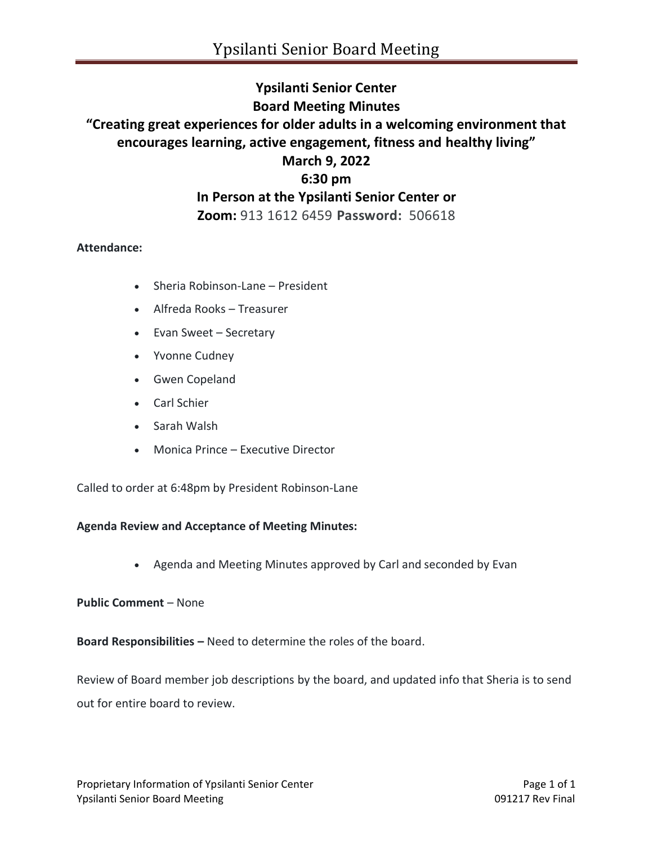# **Ypsilanti Senior Center Board Meeting Minutes "Creating great experiences for older adults in a welcoming environment that encourages learning, active engagement, fitness and healthy living" March 9, 2022 6:30 pm In Person at the Ypsilanti Senior Center or Zoom:** 913 1612 6459 **Password:** 506618

## **Attendance:**

- Sheria Robinson-Lane President
- Alfreda Rooks Treasurer
- Evan Sweet Secretary
- Yvonne Cudney
- Gwen Copeland
- Carl Schier
- Sarah Walsh
- Monica Prince Executive Director

Called to order at 6:48pm by President Robinson-Lane

#### **Agenda Review and Acceptance of Meeting Minutes:**

• Agenda and Meeting Minutes approved by Carl and seconded by Evan

#### **Public Comment** – None

**Board Responsibilities –** Need to determine the roles of the board.

Review of Board member job descriptions by the board, and updated info that Sheria is to send out for entire board to review.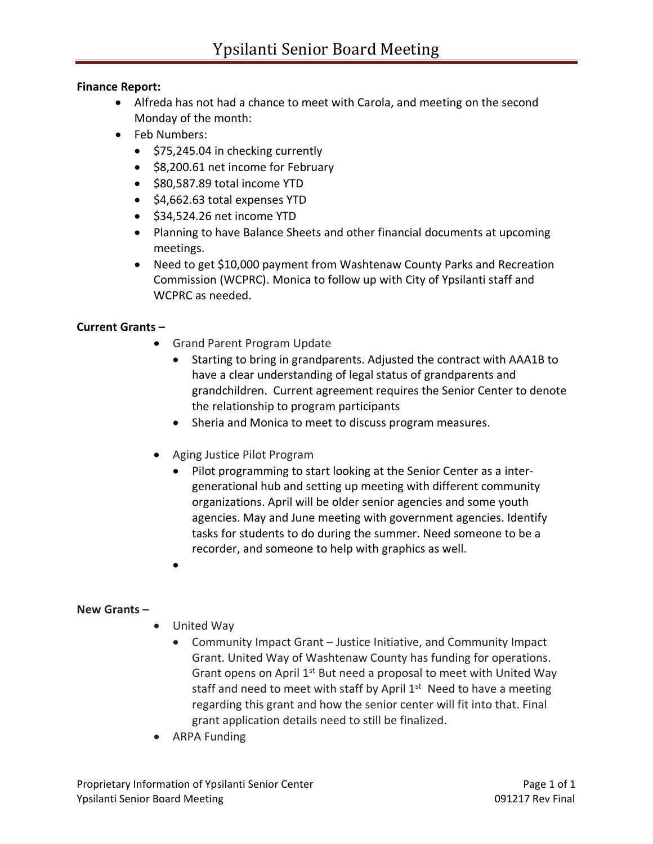## **Finance Report:**

- Alfreda has not had a chance to meet with Carola, and meeting on the second Monday of the month:
- Feb Numbers:
	- \$75,245.04 in checking currently
	- \$8,200.61 net income for February
	- \$80,587.89 total income YTD
	- \$4,662.63 total expenses YTD
	- \$34,524.26 net income YTD
	- Planning to have Balance Sheets and other financial documents at upcoming meetings.
	- Need to get \$10,000 payment from Washtenaw County Parks and Recreation Commission (WCPRC). Monica to follow up with City of Ypsilanti staff and WCPRC as needed.

## **Current Grants –**

- Grand Parent Program Update
	- Starting to bring in grandparents. Adjusted the contract with AAA1B to have a clear understanding of legal status of grandparents and grandchildren. Current agreement requires the Senior Center to denote the relationship to program participants
	- Sheria and Monica to meet to discuss program measures.
- Aging Justice Pilot Program
	- Pilot programming to start looking at the Senior Center as a intergenerational hub and setting up meeting with different community organizations. April will be older senior agencies and some youth agencies. May and June meeting with government agencies. Identify tasks for students to do during the summer. Need someone to be a recorder, and someone to help with graphics as well.
	- •

## **New Grants –**

- United Way
	- Community Impact Grant Justice Initiative, and Community Impact Grant. United Way of Washtenaw County has funding for operations. Grant opens on April 1<sup>st</sup> But need a proposal to meet with United Way staff and need to meet with staff by April 1<sup>st</sup> Need to have a meeting regarding this grant and how the senior center will fit into that. Final grant application details need to still be finalized.
- ARPA Funding